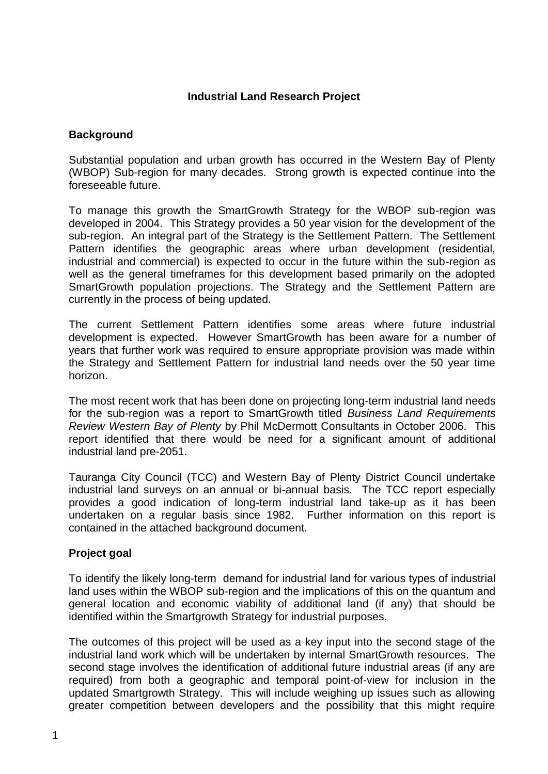## **Industrial Land Research Project**

## **Background**

Substantial population and urban growth has occurred in the Western Bay of Plenty (WBOP) Sub-region for many decades. Strong growth is expected continue into the foreseeable future.

To manage this growth the SmartGrowth Strategy for the WBOP sub-region was developed in 2004. This Strategy provides a 50 year vision for the development of the sub-region. An integral part of the Strategy is the Settlement Pattern. The Settlement Pattern identifies the geographic areas where urban development (residential, industrial and commercial) is expected to occur in the future within the sub-region as well as the general timeframes for this development based primarily on the adopted SmartGrowth population projections. The Strategy and the Settlement Pattern are currently in the process of being updated.

The current Settlement Pattern identifies some areas where future industrial development is expected. However SmartGrowth has been aware for a number of years that further work was required to ensure appropriate provision was made within the Strategy and Settlement Pattern for industrial land needs over the 50 year time horizon.

The most recent work that has been done on projecting long-term industrial land needs for the sub-region was a report to SmartGrowth titled *Business Land Requirements Review Western Bay of Plenty* by Phil McDermott Consultants in October 2006. This report identified that there would be need for a significant amount of additional industrial land pre-2051.

Tauranga City Council (TCC) and Western Bay of Plenty District Council undertake industrial land surveys on an annual or bi-annual basis. The TCC report especially provides a good indication of long-term industrial land take-up as it has been undertaken on a regular basis since 1982. Further information on this report is contained in the attached background document.

#### **Project goal**

To identify the likely long-term demand for industrial land for various types of industrial land uses within the WBOP sub-region and the implications of this on the quantum and general location and economic viability of additional land (if any) that should be identified within the Smartgrowth Strategy for industrial purposes.

The outcomes of this project will be used as a key input into the second stage of the industrial land work which will be undertaken by internal SmartGrowth resources. The second stage involves the identification of additional future industrial areas (if any are required) from both a geographic and temporal point-of-view for inclusion in the updated Smartgrowth Strategy. This will include weighing up issues such as allowing greater competition between developers and the possibility that this might require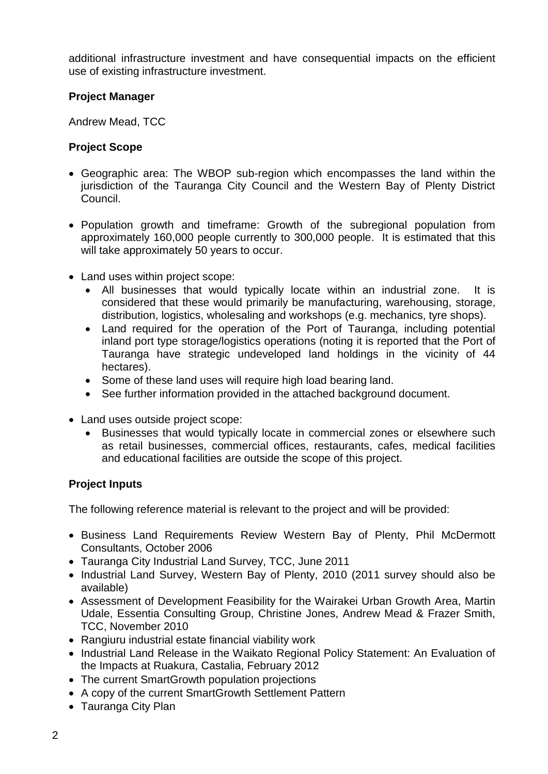additional infrastructure investment and have consequential impacts on the efficient use of existing infrastructure investment.

## **Project Manager**

Andrew Mead, TCC

## **Project Scope**

- Geographic area: The WBOP sub-region which encompasses the land within the jurisdiction of the Tauranga City Council and the Western Bay of Plenty District Council.
- Population growth and timeframe: Growth of the subregional population from approximately 160,000 people currently to 300,000 people. It is estimated that this will take approximately 50 years to occur.
- Land uses within project scope:
	- All businesses that would typically locate within an industrial zone. It is considered that these would primarily be manufacturing, warehousing, storage, distribution, logistics, wholesaling and workshops (e.g. mechanics, tyre shops).
	- Land required for the operation of the Port of Tauranga, including potential inland port type storage/logistics operations (noting it is reported that the Port of Tauranga have strategic undeveloped land holdings in the vicinity of 44 hectares).
	- Some of these land uses will require high load bearing land.
	- See further information provided in the attached background document.
- Land uses outside project scope:
	- Businesses that would typically locate in commercial zones or elsewhere such as retail businesses, commercial offices, restaurants, cafes, medical facilities and educational facilities are outside the scope of this project.

# **Project Inputs**

The following reference material is relevant to the project and will be provided:

- Business Land Requirements Review Western Bay of Plenty, Phil McDermott Consultants, October 2006
- Tauranga City Industrial Land Survey, TCC, June 2011
- Industrial Land Survey, Western Bay of Plenty, 2010 (2011 survey should also be available)
- Assessment of Development Feasibility for the Wairakei Urban Growth Area, Martin Udale, Essentia Consulting Group, Christine Jones, Andrew Mead & Frazer Smith, TCC, November 2010
- Rangiuru industrial estate financial viability work
- Industrial Land Release in the Waikato Regional Policy Statement: An Evaluation of the Impacts at Ruakura, Castalia, February 2012
- The current SmartGrowth population projections
- A copy of the current SmartGrowth Settlement Pattern
- Tauranga City Plan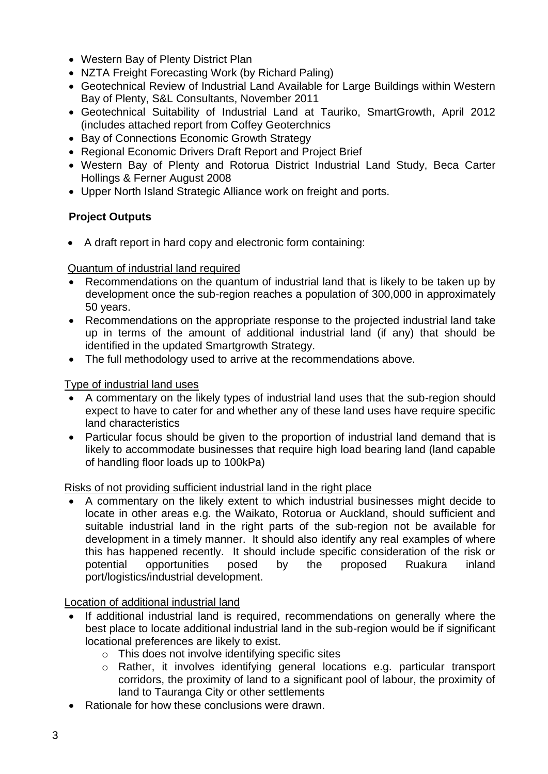- Western Bay of Plenty District Plan
- NZTA Freight Forecasting Work (by Richard Paling)
- Geotechnical Review of Industrial Land Available for Large Buildings within Western Bay of Plenty, S&L Consultants, November 2011
- Geotechnical Suitability of Industrial Land at Tauriko, SmartGrowth, April 2012 (includes attached report from Coffey Geoterchnics
- Bay of Connections Economic Growth Strategy
- Regional Economic Drivers Draft Report and Project Brief
- Western Bay of Plenty and Rotorua District Industrial Land Study, Beca Carter Hollings & Ferner August 2008
- Upper North Island Strategic Alliance work on freight and ports.

# **Project Outputs**

A draft report in hard copy and electronic form containing:

## Quantum of industrial land required

- Recommendations on the quantum of industrial land that is likely to be taken up by development once the sub-region reaches a population of 300,000 in approximately 50 years.
- Recommendations on the appropriate response to the projected industrial land take up in terms of the amount of additional industrial land (if any) that should be identified in the updated Smartgrowth Strategy.
- The full methodology used to arrive at the recommendations above.

## Type of industrial land uses

- A commentary on the likely types of industrial land uses that the sub-region should expect to have to cater for and whether any of these land uses have require specific land characteristics
- Particular focus should be given to the proportion of industrial land demand that is likely to accommodate businesses that require high load bearing land (land capable of handling floor loads up to 100kPa)

## Risks of not providing sufficient industrial land in the right place

 A commentary on the likely extent to which industrial businesses might decide to locate in other areas e.g. the Waikato, Rotorua or Auckland, should sufficient and suitable industrial land in the right parts of the sub-region not be available for development in a timely manner. It should also identify any real examples of where this has happened recently. It should include specific consideration of the risk or potential opportunities posed by the proposed Ruakura inland port/logistics/industrial development.

## Location of additional industrial land

- If additional industrial land is required, recommendations on generally where the best place to locate additional industrial land in the sub-region would be if significant locational preferences are likely to exist.
	- o This does not involve identifying specific sites
	- o Rather, it involves identifying general locations e.g. particular transport corridors, the proximity of land to a significant pool of labour, the proximity of land to Tauranga City or other settlements
- Rationale for how these conclusions were drawn.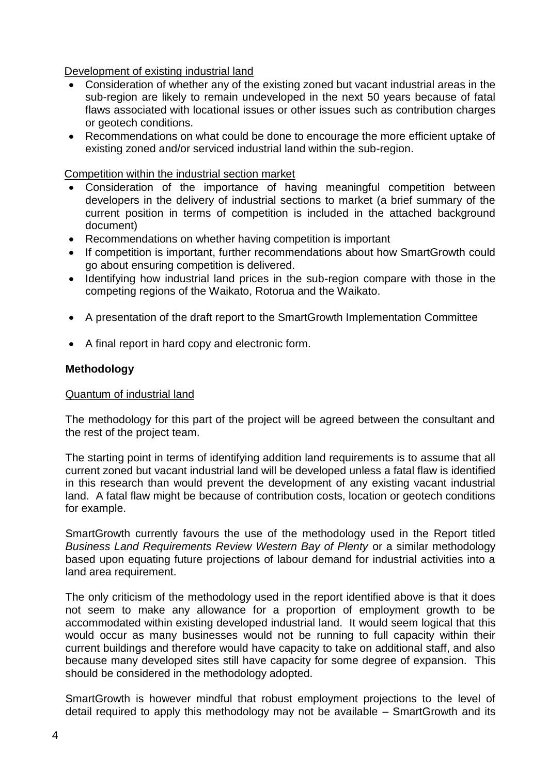Development of existing industrial land

- Consideration of whether any of the existing zoned but vacant industrial areas in the sub-region are likely to remain undeveloped in the next 50 years because of fatal flaws associated with locational issues or other issues such as contribution charges or geotech conditions.
- Recommendations on what could be done to encourage the more efficient uptake of existing zoned and/or serviced industrial land within the sub-region.

Competition within the industrial section market

- Consideration of the importance of having meaningful competition between developers in the delivery of industrial sections to market (a brief summary of the current position in terms of competition is included in the attached background document)
- Recommendations on whether having competition is important
- If competition is important, further recommendations about how SmartGrowth could go about ensuring competition is delivered.
- Identifying how industrial land prices in the sub-region compare with those in the competing regions of the Waikato, Rotorua and the Waikato.
- A presentation of the draft report to the SmartGrowth Implementation Committee
- A final report in hard copy and electronic form.

#### **Methodology**

#### Quantum of industrial land

The methodology for this part of the project will be agreed between the consultant and the rest of the project team.

The starting point in terms of identifying addition land requirements is to assume that all current zoned but vacant industrial land will be developed unless a fatal flaw is identified in this research than would prevent the development of any existing vacant industrial land. A fatal flaw might be because of contribution costs, location or geotech conditions for example.

SmartGrowth currently favours the use of the methodology used in the Report titled *Business Land Requirements Review Western Bay of Plenty* or a similar methodology based upon equating future projections of labour demand for industrial activities into a land area requirement.

The only criticism of the methodology used in the report identified above is that it does not seem to make any allowance for a proportion of employment growth to be accommodated within existing developed industrial land. It would seem logical that this would occur as many businesses would not be running to full capacity within their current buildings and therefore would have capacity to take on additional staff, and also because many developed sites still have capacity for some degree of expansion. This should be considered in the methodology adopted.

SmartGrowth is however mindful that robust employment projections to the level of detail required to apply this methodology may not be available – SmartGrowth and its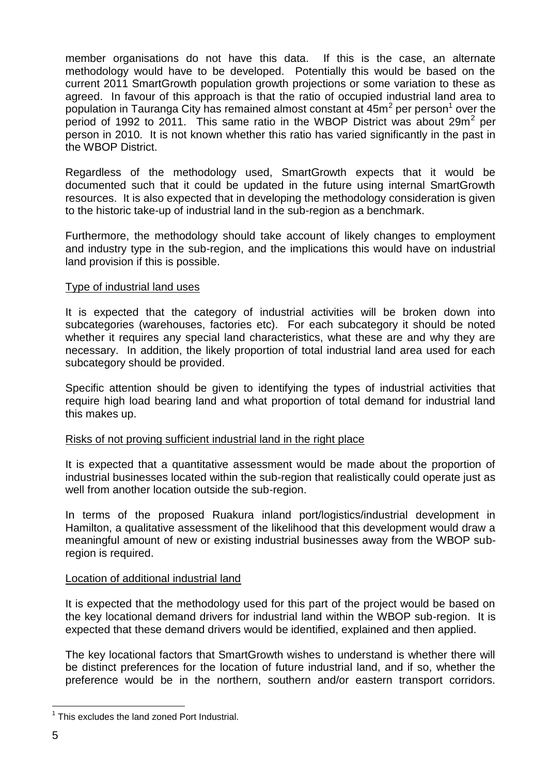member organisations do not have this data. If this is the case, an alternate methodology would have to be developed. Potentially this would be based on the current 2011 SmartGrowth population growth projections or some variation to these as agreed. In favour of this approach is that the ratio of occupied industrial land area to population in Tauranga City has remained almost constant at  $45m^2$  per person<sup>1</sup> over the period of 1992 to 2011. This same ratio in the WBOP District was about 29 $m^2$  per person in 2010. It is not known whether this ratio has varied significantly in the past in the WBOP District.

Regardless of the methodology used, SmartGrowth expects that it would be documented such that it could be updated in the future using internal SmartGrowth resources. It is also expected that in developing the methodology consideration is given to the historic take-up of industrial land in the sub-region as a benchmark.

Furthermore, the methodology should take account of likely changes to employment and industry type in the sub-region, and the implications this would have on industrial land provision if this is possible.

#### Type of industrial land uses

It is expected that the category of industrial activities will be broken down into subcategories (warehouses, factories etc). For each subcategory it should be noted whether it requires any special land characteristics, what these are and why they are necessary. In addition, the likely proportion of total industrial land area used for each subcategory should be provided.

Specific attention should be given to identifying the types of industrial activities that require high load bearing land and what proportion of total demand for industrial land this makes up.

#### Risks of not proving sufficient industrial land in the right place

It is expected that a quantitative assessment would be made about the proportion of industrial businesses located within the sub-region that realistically could operate just as well from another location outside the sub-region.

In terms of the proposed Ruakura inland port/logistics/industrial development in Hamilton, a qualitative assessment of the likelihood that this development would draw a meaningful amount of new or existing industrial businesses away from the WBOP subregion is required.

#### Location of additional industrial land

It is expected that the methodology used for this part of the project would be based on the key locational demand drivers for industrial land within the WBOP sub-region. It is expected that these demand drivers would be identified, explained and then applied.

The key locational factors that SmartGrowth wishes to understand is whether there will be distinct preferences for the location of future industrial land, and if so, whether the preference would be in the northern, southern and/or eastern transport corridors.

1

<sup>&</sup>lt;sup>1</sup> This excludes the land zoned Port Industrial.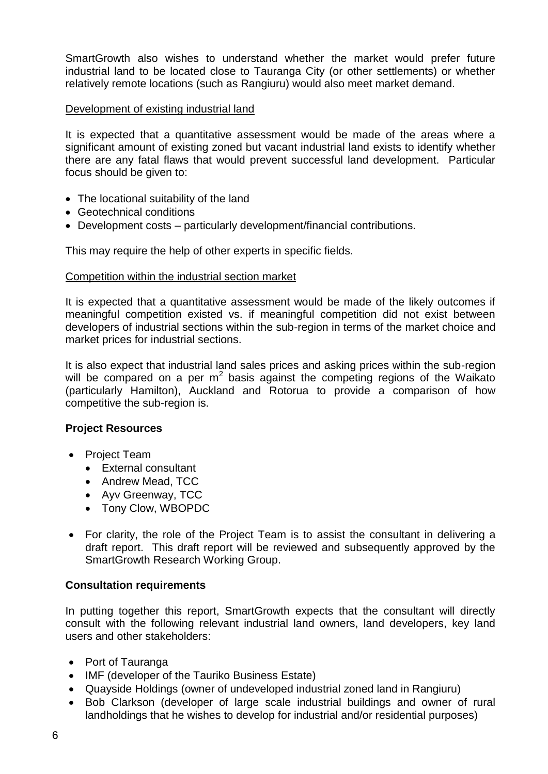SmartGrowth also wishes to understand whether the market would prefer future industrial land to be located close to Tauranga City (or other settlements) or whether relatively remote locations (such as Rangiuru) would also meet market demand.

## Development of existing industrial land

It is expected that a quantitative assessment would be made of the areas where a significant amount of existing zoned but vacant industrial land exists to identify whether there are any fatal flaws that would prevent successful land development. Particular focus should be given to:

- The locational suitability of the land
- Geotechnical conditions
- Development costs particularly development/financial contributions.

This may require the help of other experts in specific fields.

#### Competition within the industrial section market

It is expected that a quantitative assessment would be made of the likely outcomes if meaningful competition existed vs. if meaningful competition did not exist between developers of industrial sections within the sub-region in terms of the market choice and market prices for industrial sections.

It is also expect that industrial land sales prices and asking prices within the sub-region will be compared on a per  $m^2$  basis against the competing regions of the Waikato (particularly Hamilton), Auckland and Rotorua to provide a comparison of how competitive the sub-region is.

#### **Project Resources**

- Project Team
	- External consultant
	- Andrew Mead, TCC
	- Ayv Greenway, TCC
	- Tony Clow, WBOPDC
- For clarity, the role of the Project Team is to assist the consultant in delivering a draft report. This draft report will be reviewed and subsequently approved by the SmartGrowth Research Working Group.

#### **Consultation requirements**

In putting together this report, SmartGrowth expects that the consultant will directly consult with the following relevant industrial land owners, land developers, key land users and other stakeholders:

- Port of Tauranga
- IMF (developer of the Tauriko Business Estate)
- Quayside Holdings (owner of undeveloped industrial zoned land in Rangiuru)
- Bob Clarkson (developer of large scale industrial buildings and owner of rural landholdings that he wishes to develop for industrial and/or residential purposes)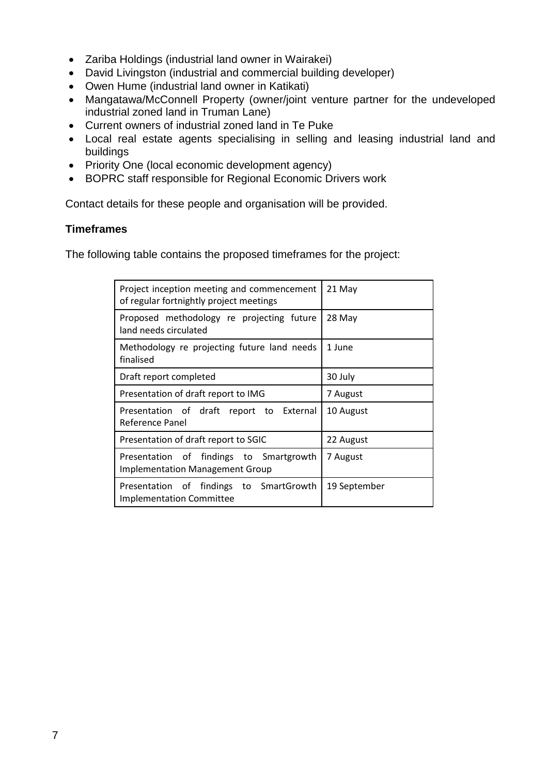- Zariba Holdings (industrial land owner in Wairakei)
- David Livingston (industrial and commercial building developer)
- Owen Hume (industrial land owner in Katikati)
- Mangatawa/McConnell Property (owner/joint venture partner for the undeveloped industrial zoned land in Truman Lane)
- Current owners of industrial zoned land in Te Puke
- Local real estate agents specialising in selling and leasing industrial land and buildings
- Priority One (local economic development agency)
- BOPRC staff responsible for Regional Economic Drivers work

Contact details for these people and organisation will be provided.

## **Timeframes**

The following table contains the proposed timeframes for the project:

| Project inception meeting and commencement<br>of regular fortnightly project meetings | 21 May       |  |
|---------------------------------------------------------------------------------------|--------------|--|
| Proposed methodology re projecting future<br>land needs circulated                    | 28 May       |  |
| Methodology re projecting future land needs<br>finalised                              | 1 June       |  |
| Draft report completed                                                                | 30 July      |  |
| Presentation of draft report to IMG                                                   | 7 August     |  |
| Presentation of draft report to External<br>Reference Panel                           | 10 August    |  |
| Presentation of draft report to SGIC                                                  | 22 August    |  |
| Presentation of findings to Smartgrowth<br><b>Implementation Management Group</b>     | 7 August     |  |
| Presentation of findings to SmartGrowth<br><b>Implementation Committee</b>            | 19 September |  |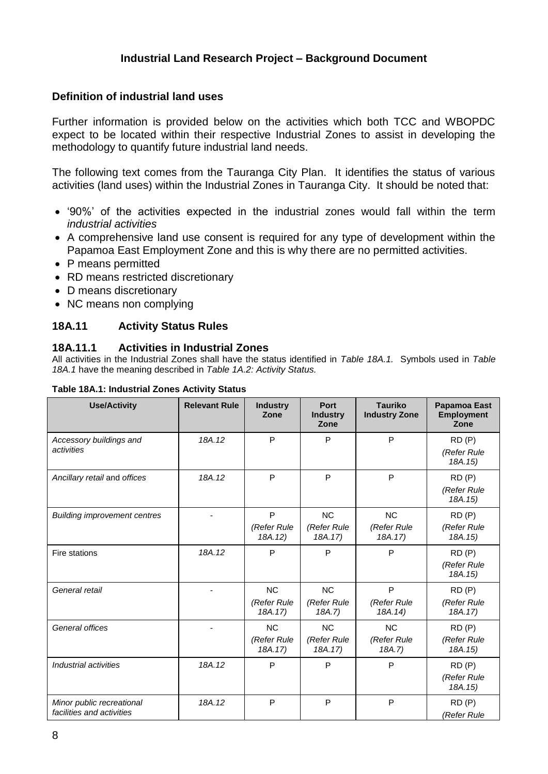## **Industrial Land Research Project – Background Document**

## **Definition of industrial land uses**

Further information is provided below on the activities which both TCC and WBOPDC expect to be located within their respective Industrial Zones to assist in developing the methodology to quantify future industrial land needs.

The following text comes from the Tauranga City Plan. It identifies the status of various activities (land uses) within the Industrial Zones in Tauranga City. It should be noted that:

- '90%' of the activities expected in the industrial zones would fall within the term *industrial activities*
- A comprehensive land use consent is required for any type of development within the Papamoa East Employment Zone and this is why there are no permitted activities.
- P means permitted
- RD means restricted discretionary
- D means discretionary
- NC means non complying

#### **18A.11 Activity Status Rules**

#### **18A.11.1 Activities in Industrial Zones**

All activities in the Industrial Zones shall have the status identified in *Table 18A.1.* Symbols used in *Table 18A.1* have the meaning described in *Table 1A.2: Activity Status.*

| <b>Use/Activity</b>                                    | <b>Relevant Rule</b> | <b>Industry</b><br>Zone             | Port<br><b>Industry</b><br>Zone     | <b>Tauriko</b><br><b>Industry Zone</b> | <b>Papamoa East</b><br><b>Employment</b><br>Zone |
|--------------------------------------------------------|----------------------|-------------------------------------|-------------------------------------|----------------------------------------|--------------------------------------------------|
| Accessory buildings and<br>activities                  | 18A.12               | P                                   | P                                   | P                                      | RD(P)<br>(Refer Rule<br>18A.15)                  |
| Ancillary retail and offices                           | 18A.12               | P                                   | P                                   | P                                      | RD(P)<br>(Refer Rule<br>18A.15)                  |
| <b>Building improvement centres</b>                    |                      | P<br>(Refer Rule<br>18A.12)         | <b>NC</b><br>(Refer Rule<br>18A.17) | <b>NC</b><br>(Refer Rule<br>18A.17)    | RD(P)<br>(Refer Rule<br>18A.15)                  |
| Fire stations                                          | 18A.12               | P                                   | P                                   | P                                      | RD(P)<br>(Refer Rule<br>18A.15)                  |
| General retail                                         |                      | <b>NC</b><br>(Refer Rule<br>18A.17) | <b>NC</b><br>(Refer Rule<br>18A.7)  | P<br>(Refer Rule<br>18A.14)            | RD(P)<br>(Refer Rule<br>18A.17)                  |
| General offices                                        |                      | <b>NC</b><br>(Refer Rule<br>18A.17) | <b>NC</b><br>(Refer Rule<br>18A.17) | <b>NC</b><br>(Refer Rule<br>18A.7)     | RD(P)<br>(Refer Rule<br>18A.15)                  |
| Industrial activities                                  | 18A.12               | P                                   | P                                   | P                                      | RD(P)<br>(Refer Rule<br>18A.15)                  |
| Minor public recreational<br>facilities and activities | 18A.12               | P                                   | P                                   | P                                      | RD(P)<br>(Refer Rule                             |

#### **Table 18A.1: Industrial Zones Activity Status**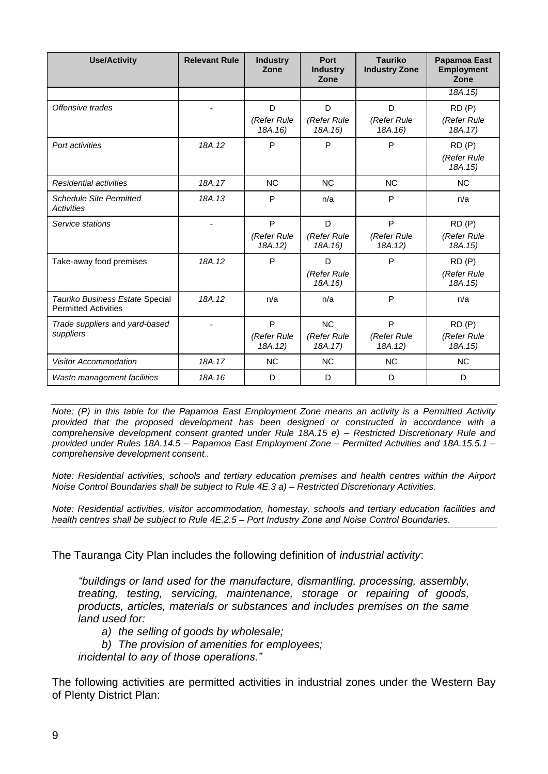| <b>Use/Activity</b>                                            | <b>Relevant Rule</b> | <b>Industry</b><br>Zone     | Port<br><b>Industry</b><br>Zone | <b>Tauriko</b><br><b>Industry Zone</b> | <b>Papamoa East</b><br><b>Employment</b><br>Zone |
|----------------------------------------------------------------|----------------------|-----------------------------|---------------------------------|----------------------------------------|--------------------------------------------------|
|                                                                |                      |                             |                                 |                                        | 18A.15)                                          |
| Offensive trades                                               |                      | D<br>(Refer Rule<br>18A.16) | D<br>(Refer Rule<br>18A.16)     | D<br>(Refer Rule<br>18A.16)            | RD(P)<br>(Refer Rule<br>18A.17)                  |
| Port activities                                                | 18A.12               | P                           | P                               | P                                      | RD(P)<br>(Refer Rule<br>18A.15)                  |
| Residential activities                                         | 18A.17               | <b>NC</b>                   | <b>NC</b>                       | <b>NC</b>                              | <b>NC</b>                                        |
| <b>Schedule Site Permitted</b><br>Activities                   | 18A.13               | P                           | n/a                             | P                                      | n/a                                              |
| Service stations                                               |                      | P                           | D                               | P                                      | RD(P)                                            |
|                                                                |                      | (Refer Rule<br>18A.12)      | (Refer Rule<br>18A.16)          | (Refer Rule<br>18A.12)                 | (Refer Rule<br>18A.15)                           |
| Take-away food premises                                        | 18A.12               | P                           | D                               | P                                      | RD(P)                                            |
|                                                                |                      |                             | (Refer Rule<br>18A.16)          |                                        | (Refer Rule<br>18A.15)                           |
| Tauriko Business Estate Special<br><b>Permitted Activities</b> | 18A.12               | n/a                         | n/a                             | P                                      | n/a                                              |
| Trade suppliers and yard-based                                 |                      | P                           | <b>NC</b>                       | P                                      | RD(P)                                            |
| suppliers                                                      |                      | (Refer Rule<br>18A.12)      | (Refer Rule<br>18A.17)          | (Refer Rule<br>18A.12)                 | (Refer Rule<br>18A.15)                           |
| <b>Visitor Accommodation</b>                                   | 18A.17               | <b>NC</b>                   | <b>NC</b>                       | <b>NC</b>                              | <b>NC</b>                                        |
| Waste management facilities                                    | 18A.16               | D                           | D                               | D                                      | D                                                |

*Note: (P) in this table for the Papamoa East Employment Zone means an activity is a Permitted Activity provided that the proposed development has been designed or constructed in accordance with a comprehensive development consent granted under Rule 18A.15 e) – Restricted Discretionary Rule and provided under Rules 18A.14.5 – Papamoa East Employment Zone – Permitted Activities and 18A.15.5.1 – comprehensive development consent..*

*Note: Residential activities, schools and tertiary education premises and health centres within the Airport Noise Control Boundaries shall be subject to Rule 4E.3 a) – Restricted Discretionary Activities.*

*Note: Residential activities, visitor accommodation, homestay, schools and tertiary education facilities and health centres shall be subject to Rule 4E.2.5 – Port Industry Zone and Noise Control Boundaries.*

The Tauranga City Plan includes the following definition of *industrial activity*:

*"buildings or land used for the manufacture, dismantling, processing, assembly, treating, testing, servicing, maintenance, storage or repairing of goods, products, articles, materials or substances and includes premises on the same land used for:*

*a) the selling of goods by wholesale;*

*b) The provision of amenities for employees;*

*incidental to any of those operations."*

The following activities are permitted activities in industrial zones under the Western Bay of Plenty District Plan: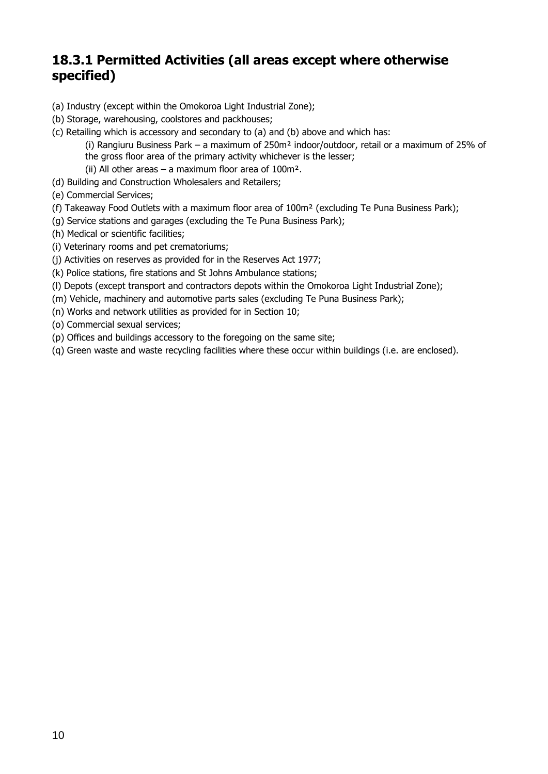# **18.3.1 Permitted Activities (all areas except where otherwise specified)**

- (a) Industry (except within the Omokoroa Light Industrial Zone);
- (b) Storage, warehousing, coolstores and packhouses;
- (c) Retailing which is accessory and secondary to (a) and (b) above and which has:
	- (i) Rangiuru Business Park a maximum of 250m² indoor/outdoor, retail or a maximum of 25% of
	- the gross floor area of the primary activity whichever is the lesser;
	- (ii) All other areas  $-$  a maximum floor area of 100m<sup>2</sup>.
- (d) Building and Construction Wholesalers and Retailers;
- (e) Commercial Services;
- (f) Takeaway Food Outlets with a maximum floor area of 100m² (excluding Te Puna Business Park);
- (g) Service stations and garages (excluding the Te Puna Business Park);
- (h) Medical or scientific facilities;
- (i) Veterinary rooms and pet crematoriums;
- (j) Activities on reserves as provided for in the Reserves Act 1977;
- (k) Police stations, fire stations and St Johns Ambulance stations;
- (l) Depots (except transport and contractors depots within the Omokoroa Light Industrial Zone);
- (m) Vehicle, machinery and automotive parts sales (excluding Te Puna Business Park);
- (n) Works and network utilities as provided for in Section 10;
- (o) Commercial sexual services;
- (p) Offices and buildings accessory to the foregoing on the same site;
- (q) Green waste and waste recycling facilities where these occur within buildings (i.e. are enclosed).